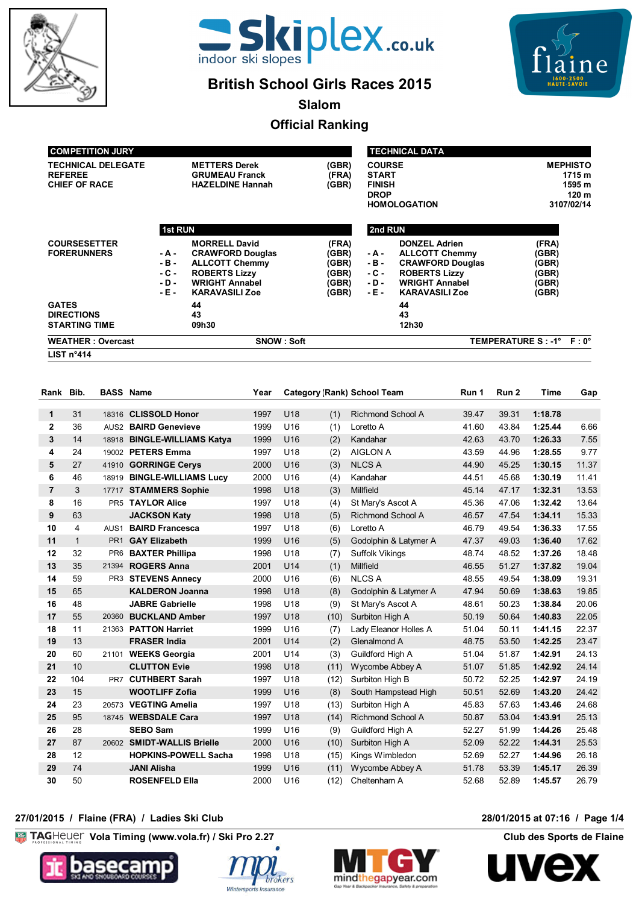



# **British School Girls Races 2015**

 $\mathbf{e}$ 

**Slalom**

# **Official Ranking**

| <b>WEATHER: Overcast</b><br><b>SNOW : Soft</b> |                |                         |       |               |                         | TEMPERATURE S : -1° F : 0° |
|------------------------------------------------|----------------|-------------------------|-------|---------------|-------------------------|----------------------------|
| <b>DIRECTIONS</b><br><b>STARTING TIME</b>      |                | 43<br>09h30             |       |               | 43<br>12h30             |                            |
| <b>GATES</b>                                   |                | 44                      |       |               | 44                      |                            |
|                                                | - E -          | <b>KARAVASILI Zoe</b>   | (GBR) | - E -         | <b>KARAVASILI Zoe</b>   | (GBR)                      |
|                                                | $-D -$         | <b>WRIGHT Annabel</b>   | (GBR) | - D -         | <b>WRIGHT Annabel</b>   | (GBR)                      |
|                                                | - C -          | <b>ROBERTS Lizzy</b>    | (GBR) | - C -         | <b>ROBERTS Lizzy</b>    | (GBR)                      |
|                                                | - B -          | <b>ALLCOTT Chemmy</b>   | (GBR) | - B -         | <b>CRAWFORD Douglas</b> | (GBR)                      |
| <b>FORERUNNERS</b>                             | - A -          | <b>CRAWFORD Douglas</b> | (GBR) | - A -         | <b>ALLCOTT Chemmy</b>   | (GBR)                      |
| <b>COURSESETTER</b>                            |                | <b>MORRELL David</b>    | (FRA) |               | <b>DONZEL Adrien</b>    | (FRA)                      |
|                                                | <b>1st RUN</b> |                         |       | 2nd RUN       |                         |                            |
|                                                |                |                         |       |               | <b>HOMOLOGATION</b>     | 3107/02/14                 |
|                                                |                |                         |       | <b>DROP</b>   |                         | 120 m                      |
| <b>CHIEF OF RACE</b>                           |                | <b>HAZELDINE Hannah</b> | (GBR) | <b>FINISH</b> |                         | 1595 m                     |
| <b>REFEREE</b>                                 |                | <b>GRUMEAU Franck</b>   | (FRA) | <b>START</b>  |                         | 1715 m                     |
| <b>TECHNICAL DELEGATE</b>                      |                | <b>METTERS Derek</b>    | (GBR) | <b>COURSE</b> |                         | <b>MEPHISTO</b>            |
| <b>COMPETITION JURY</b>                        |                |                         |       |               | <b>TECHNICAL DATA</b>   |                            |

**LIST n°414**

| Rank              | Bib.         | <b>BASS Name</b> |                             | Year |                 |      | <b>Category (Rank) School Team</b> | Run 1 | Run 2 | <b>Time</b> | Gap   |
|-------------------|--------------|------------------|-----------------------------|------|-----------------|------|------------------------------------|-------|-------|-------------|-------|
|                   | 31           |                  | 18316 CLISSOLD Honor        | 1997 | <b>U18</b>      |      | <b>Richmond School A</b>           | 39.47 | 39.31 | 1:18.78     |       |
| 1<br>$\mathbf{2}$ | 36           |                  | AUS2 BAIRD Genevieve        | 1999 | U16             | (1)  | Loretto A                          | 41.60 | 43.84 | 1:25.44     | 6.66  |
|                   |              |                  |                             |      |                 | (1)  |                                    |       |       |             |       |
| 3                 | 14           |                  | 18918 BINGLE-WILLIAMS Katya | 1999 | U16             | (2)  | Kandahar                           | 42.63 | 43.70 | 1:26.33     | 7.55  |
| 4                 | 24           |                  | 19002 PETERS Emma           | 1997 | U <sub>18</sub> | (2)  | <b>AIGLON A</b>                    | 43.59 | 44.96 | 1:28.55     | 9.77  |
| 5                 | 27           |                  | 41910 GORRINGE Cervs        | 2000 | U <sub>16</sub> | (3)  | <b>NLCS A</b>                      | 44.90 | 45.25 | 1:30.15     | 11.37 |
| 6                 | 46           |                  | 18919 BINGLE-WILLIAMS Lucv  | 2000 | U <sub>16</sub> | (4)  | Kandahar                           | 44.51 | 45.68 | 1:30.19     | 11.41 |
| $\overline{7}$    | 3            |                  | 17717 STAMMERS Sophie       | 1998 | U18             | (3)  | Millfield                          | 45.14 | 47.17 | 1:32.31     | 13.53 |
| 8                 | 16           |                  | PR5 TAYLOR Alice            | 1997 | U18             | (4)  | St Mary's Ascot A                  | 45.36 | 47.06 | 1:32.42     | 13.64 |
| 9                 | 63           |                  | <b>JACKSON Katy</b>         | 1998 | U18             | (5)  | <b>Richmond School A</b>           | 46.57 | 47.54 | 1:34.11     | 15.33 |
| 10                | 4            | AUS <sub>1</sub> | <b>BAIRD Francesca</b>      | 1997 | U18             | (6)  | Loretto A                          | 46.79 | 49.54 | 1:36.33     | 17.55 |
| 11                | $\mathbf{1}$ | PR <sub>1</sub>  | <b>GAY Elizabeth</b>        | 1999 | U <sub>16</sub> | (5)  | Godolphin & Latymer A              | 47.37 | 49.03 | 1:36.40     | 17.62 |
| 12                | 32           | PR <sub>6</sub>  | <b>BAXTER Phillipa</b>      | 1998 | U <sub>18</sub> | (7)  | <b>Suffolk Vikings</b>             | 48.74 | 48.52 | 1:37.26     | 18.48 |
| 13                | 35           | 21394            | <b>ROGERS Anna</b>          | 2001 | U14             | (1)  | Millfield                          | 46.55 | 51.27 | 1:37.82     | 19.04 |
| 14                | 59           |                  | PR3 STEVENS Annecy          | 2000 | U16             | (6)  | <b>NLCS A</b>                      | 48.55 | 49.54 | 1:38.09     | 19.31 |
| 15                | 65           |                  | <b>KALDERON Joanna</b>      | 1998 | U18             | (8)  | Godolphin & Latymer A              | 47.94 | 50.69 | 1:38.63     | 19.85 |
| 16                | 48           |                  | <b>JABRE Gabrielle</b>      | 1998 | U18             | (9)  | St Mary's Ascot A                  | 48.61 | 50.23 | 1:38.84     | 20.06 |
| 17                | 55           | 20360            | <b>BUCKLAND Amber</b>       | 1997 | U18             | (10) | Surbiton High A                    | 50.19 | 50.64 | 1:40.83     | 22.05 |
| 18                | 11           |                  | 21363 PATTON Harriet        | 1999 | U <sub>16</sub> | (7)  | Lady Eleanor Holles A              | 51.04 | 50.11 | 1:41.15     | 22.37 |
| 19                | 13           |                  | <b>FRASER India</b>         | 2001 | U <sub>14</sub> | (2)  | Glenalmond A                       | 48.75 | 53.50 | 1:42.25     | 23.47 |
| 20                | 60           |                  | 21101 WEEKS Georgia         | 2001 | U14             | (3)  | Guildford High A                   | 51.04 | 51.87 | 1:42.91     | 24.13 |
| 21                | 10           |                  | <b>CLUTTON Evie</b>         | 1998 | U18             | (11) | Wycombe Abbey A                    | 51.07 | 51.85 | 1:42.92     | 24.14 |
| 22                | 104          | PR7              | <b>CUTHBERT Sarah</b>       | 1997 | U18             | (12) | Surbiton High B                    | 50.72 | 52.25 | 1:42.97     | 24.19 |
| 23                | 15           |                  | <b>WOOTLIFF Zofia</b>       | 1999 | U16             | (8)  | South Hampstead High               | 50.51 | 52.69 | 1:43.20     | 24.42 |
| 24                | 23           |                  | 20573 VEGTING Amelia        | 1997 | U18             | (13) | Surbiton High A                    | 45.83 | 57.63 | 1:43.46     | 24.68 |
| 25                | 95           |                  | 18745 WEBSDALE Cara         | 1997 | U18             | (14) | <b>Richmond School A</b>           | 50.87 | 53.04 | 1:43.91     | 25.13 |
| 26                | 28           |                  | <b>SEBO Sam</b>             | 1999 | U <sub>16</sub> | (9)  | Guildford High A                   | 52.27 | 51.99 | 1:44.26     | 25.48 |
| 27                | 87           |                  | 20602 SMIDT-WALLIS Brielle  | 2000 | U16             | (10) | Surbiton High A                    | 52.09 | 52.22 | 1:44.31     | 25.53 |
| 28                | 12           |                  | <b>HOPKINS-POWELL Sacha</b> | 1998 | U18             | (15) | Kings Wimbledon                    | 52.69 | 52.27 | 1:44.96     | 26.18 |
| 29                | 74           |                  | <b>JANI Alisha</b>          | 1999 | U <sub>16</sub> | (11) | Wycombe Abbey A                    | 51.78 | 53.39 | 1:45.17     | 26.39 |
| 30                | 50           |                  | <b>ROSENFELD Ella</b>       | 2000 | U <sub>16</sub> | (12) | Cheltenham A                       | 52.68 | 52.89 | 1:45.57     | 26.79 |

## **27/01/2015 / Flaine (FRA) / Ladies Ski Club 28/01/2015 at 07:16 / Page 1/4**

**Vola Timing (www.vola.fr) / Ski Pro 2.27 Club des Sports de Flaine** 







**UV** 

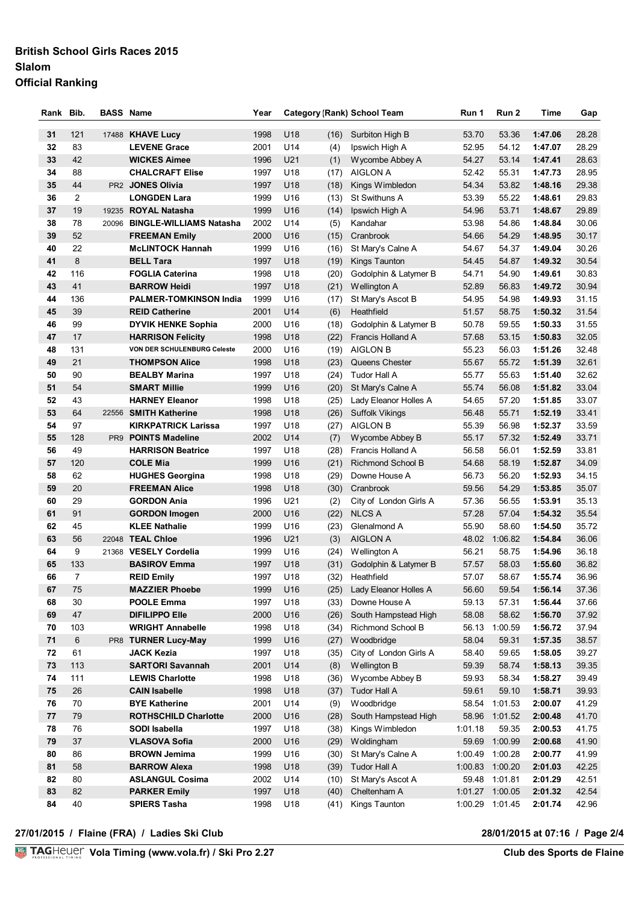### **British School Girls Races 2015 Slalom Official Ranking**

| Rank Bib.  |                | <b>BASS Name</b>                             | Year         |                        |              | <b>Category (Rank) School Team</b> | Run 1          | Run 2            | Time               | Gap            |
|------------|----------------|----------------------------------------------|--------------|------------------------|--------------|------------------------------------|----------------|------------------|--------------------|----------------|
| 31         | 121            | 17488 KHAVE Lucy                             | 1998         | U18                    | (16)         | Surbiton High B                    | 53.70          | 53.36            | 1:47.06            | 28.28          |
| 32         | 83             | <b>LEVENE Grace</b>                          | 2001         | U14                    | (4)          | Ipswich High A                     | 52.95          | 54.12            | 1:47.07            | 28.29          |
| 33         | 42             | <b>WICKES Aimee</b>                          | 1996         | U <sub>21</sub>        | (1)          | Wycombe Abbey A                    | 54.27          | 53.14            | 1:47.41            | 28.63          |
| 34         | 88             | <b>CHALCRAFT Elise</b>                       | 1997         | U18                    | (17)         | <b>AIGLON A</b>                    | 52.42          | 55.31            | 1:47.73            | 28.95          |
| 35         | 44             | PR2 JONES Olivia                             | 1997         | U18                    | (18)         | Kings Wimbledon                    | 54.34          | 53.82            | 1:48.16            | 29.38          |
| 36         | 2              | <b>LONGDEN Lara</b>                          | 1999         | U <sub>16</sub>        | (13)         | St Swithuns A                      | 53.39          | 55.22            | 1:48.61            | 29.83          |
| 37         | 19             | 19235 ROYAL Natasha                          | 1999         | U16                    | (14)         | Ipswich High A                     | 54.96          | 53.71            | 1:48.67            | 29.89          |
| 38         | 78             | 20096 BINGLE-WILLIAMS Natasha                | 2002         | U14                    | (5)          | Kandahar                           | 53.98          | 54.86            | 1:48.84            | 30.06          |
| 39         | 52             | <b>FREEMAN Emily</b>                         | 2000         | U <sub>16</sub>        | (15)         | Cranbrook                          | 54.66          | 54.29            | 1:48.95            | 30.17          |
| 40         | 22             | <b>McLINTOCK Hannah</b>                      | 1999         | U <sub>16</sub>        | (16)         | St Mary's Calne A                  | 54.67          | 54.37            | 1:49.04            | 30.26          |
| 41         | 8              | <b>BELL Tara</b>                             | 1997         | U18                    | (19)         | Kings Taunton                      | 54.45          | 54.87            | 1:49.32            | 30.54          |
| 42         | 116            | <b>FOGLIA Caterina</b>                       | 1998         | U18                    | (20)         | Godolphin & Latymer B              | 54.71          | 54.90            | 1:49.61            | 30.83          |
| 43         | 41             | <b>BARROW Heidi</b>                          | 1997         | U18                    | (21)         | Wellington A                       | 52.89          | 56.83            | 1:49.72            | 30.94          |
| 44         | 136            | <b>PALMER-TOMKINSON India</b>                | 1999         | U16                    | (17)         | St Mary's Ascot B                  | 54.95          | 54.98            | 1:49.93            | 31.15          |
| 45         | 39             | <b>REID Catherine</b>                        | 2001         | U14                    | (6)          | Heathfield                         | 51.57          | 58.75            | 1:50.32            | 31.54          |
| 46         | 99             | <b>DYVIK HENKE Sophia</b>                    | 2000         | U16                    | (18)         | Godolphin & Latymer B              | 50.78          | 59.55            | 1:50.33            | 31.55          |
| 47         | 17             | <b>HARRISON Felicity</b>                     | 1998         | U18                    | (22)         | <b>Francis Holland A</b>           | 57.68          | 53.15            | 1:50.83            | 32.05          |
| 48         | 131            | VON DER SCHULENBURG Celeste                  | 2000         | U <sub>16</sub>        | (19)         | <b>AIGLON B</b>                    | 55.23          | 56.03            | 1:51.26            | 32.48          |
| 49         | 21             | <b>THOMPSON Alice</b>                        | 1998         | U18                    | (23)         | Queens Chester                     | 55.67          | 55.72            | 1:51.39            | 32.61          |
| 50         | 90             | <b>BEALBY Marina</b>                         | 1997         | U18                    | (24)         | Tudor Hall A                       | 55.77          | 55.63            | 1:51.40            | 32.62          |
| 51         | 54             | <b>SMART Millie</b>                          | 1999         | U16                    | (20)         | St Mary's Calne A                  | 55.74          | 56.08            | 1:51.82            | 33.04          |
| 52         | 43             | <b>HARNEY Eleanor</b>                        | 1998         | U18                    | (25)         | Lady Eleanor Holles A              | 54.65          | 57.20            | 1:51.85            | 33.07          |
| 53         | 64             | 22556 SMITH Katherine                        | 1998         | U18                    | (26)         | <b>Suffolk Vikings</b>             | 56.48          | 55.71            | 1:52.19            | 33.41          |
| 54         | 97             | <b>KIRKPATRICK Larissa</b>                   | 1997         | U18                    | (27)         | <b>AIGLON B</b>                    | 55.39          | 56.98            | 1:52.37            | 33.59          |
| 55         | 128            | PR9 POINTS Madeline                          | 2002         | U14                    | (7)          | Wycombe Abbey B                    | 55.17          | 57.32            | 1:52.49            | 33.71          |
| 56         | 49             | <b>HARRISON Beatrice</b>                     | 1997         | U18                    | (28)         | Francis Holland A                  | 56.58          | 56.01            | 1:52.59            | 33.81          |
| 57         | 120            | <b>COLE Mia</b>                              | 1999         | U16                    | (21)         | Richmond School B                  | 54.68          | 58.19            | 1:52.87            | 34.09          |
| 58         | 62             | <b>HUGHES Georgina</b>                       | 1998         | U18                    | (29)         | Downe House A                      | 56.73          | 56.20            | 1:52.93            | 34.15          |
| 59         | 20             | <b>FREEMAN Alice</b>                         | 1998         | U18                    | (30)         | Cranbrook                          | 59.56          | 54.29            | 1:53.85            | 35.07          |
| 60         | 29             | <b>GORDON Ania</b>                           | 1996         | U <sub>21</sub>        | (2)          | City of London Girls A             | 57.36          | 56.55            | 1:53.91            | 35.13          |
| 61         | 91             | <b>GORDON Imogen</b><br><b>KLEE Nathalie</b> | 2000         | U16                    | (22)         | <b>NLCS A</b>                      | 57.28          | 57.04            | 1:54.32            | 35.54          |
| 62<br>63   | 45<br>56       | 22048 TEAL Chloe                             | 1999<br>1996 | U <sub>16</sub><br>U21 | (23)         | Glenalmond A<br><b>AIGLON A</b>    | 55.90<br>48.02 | 58.60<br>1:06.82 | 1:54.50<br>1:54.84 | 35.72<br>36.06 |
| 64         | 9              | 21368 VESELY Cordelia                        | 1999         | U16                    | (3)          | Wellington A                       | 56.21          | 58.75            | 1:54.96            | 36.18          |
| 65         | 133            | <b>BASIROV Emma</b>                          | 1997         | U18                    | (24)<br>(31) | Godolphin & Latymer B              | 57.57          | 58.03            | 1:55.60            | 36.82          |
| 66         | $\overline{7}$ | <b>REID Emily</b>                            | 1997         | U18                    | (32)         | Heathfield                         | 57.07          | 58.67            | 1:55.74            | 36.96          |
| 67         | 75             | <b>MAZZIER Phoebe</b>                        | 1999         | U16                    | (25)         | Lady Eleanor Holles A              | 56.60          | 59.54            | 1:56.14            | 37.36          |
| 68         | 30             | <b>POOLE Emma</b>                            | 1997         | U18                    | (33)         | Downe House A                      | 59.13          | 57.31            | 1:56.44            | 37.66          |
| 69         | 47             | <b>DIFILIPPO Elle</b>                        | 2000         | U16                    | (26)         | South Hampstead High               | 58.08          | 58.62            | 1:56.70            | 37.92          |
| 70         | 103            | <b>WRIGHT Annabelle</b>                      | 1998         | U18                    | (34)         | Richmond School B                  | 56.13          | 1:00.59          | 1:56.72            | 37.94          |
| $\bf 71$   | 6              | PR8 TURNER Lucy-May                          | 1999         | U16                    | (27)         | Woodbridge                         | 58.04          | 59.31            | 1:57.35            | 38.57          |
| 72         | 61             | <b>JACK Kezia</b>                            | 1997         | U18                    | (35)         | City of London Girls A             | 58.40          | 59.65            | 1:58.05            | 39.27          |
| 73         | 113            | <b>SARTORI Savannah</b>                      | 2001         | U14                    | (8)          | Wellington B                       | 59.39          | 58.74            | 1:58.13            | 39.35          |
| 74         | 111            | <b>LEWIS Charlotte</b>                       | 1998         | U18                    | (36)         | Wycombe Abbey B                    | 59.93          | 58.34            | 1:58.27            | 39.49          |
| ${\bf 75}$ | 26             | <b>CAIN Isabelle</b>                         | 1998         | U18                    | (37)         | Tudor Hall A                       | 59.61          | 59.10            | 1:58.71            | 39.93          |
| 76         | 70             | <b>BYE Katherine</b>                         | 2001         | U14                    | (9)          | Woodbridge                         | 58.54          | 1:01.53          | 2:00.07            | 41.29          |
| 77         | 79             | <b>ROTHSCHILD Charlotte</b>                  | 2000         | U16                    | (28)         | South Hampstead High               |                | 58.96 1:01.52    | 2:00.48            | 41.70          |
| 78         | 76             | SODI Isabella                                | 1997         | U18                    | (38)         | Kings Wimbledon                    | 1:01.18        | 59.35            | 2:00.53            | 41.75          |
| 79         | 37             | <b>VLASOVA Sofia</b>                         | 2000         | U16                    | (29)         | Woldingham                         | 59.69          | 1:00.99          | 2:00.68            | 41.90          |
| 80         | 86             | <b>BROWN Jemima</b>                          | 1999         | U16                    | (30)         | St Mary's Calne A                  | 1:00.49        | 1:00.28          | 2:00.77            | 41.99          |
| 81         | 58             | <b>BARROW Alexa</b>                          | 1998         | U18                    | (39)         | Tudor Hall A                       | 1:00.83        | 1:00.20          | 2:01.03            | 42.25          |
| 82         | 80             | <b>ASLANGUL Cosima</b>                       | 2002         | U14                    | (10)         | St Mary's Ascot A                  | 59.48          | 1:01.81          | 2:01.29            | 42.51          |
| 83         | 82             | <b>PARKER Emily</b>                          | 1997         | U18                    | (40)         | Cheltenham A                       | 1:01.27        | 1:00.05          | 2:01.32            | 42.54          |
| 84         | 40             | <b>SPIERS Tasha</b>                          | 1998         | U18                    | (41)         | Kings Taunton                      | 1:00.29        | 1:01.45          | 2:01.74            | 42.96          |

**27/01/2015 / Flaine (FRA) / Ladies Ski Club 28/01/2015 at 07:16 / Page 2/4**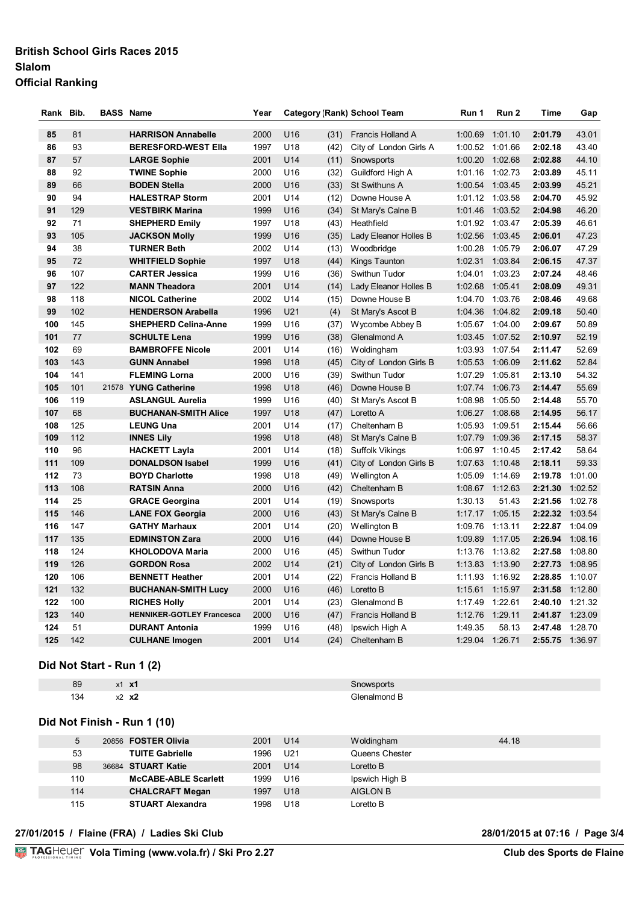### **British School Girls Races 2015 Slalom Official Ranking**

| Rank       | Bib.       | <b>BASS Name</b>                 | Year |                        |      | <b>Category (Rank) School Team</b> | Run 1   | Run 2   | Time    | Gap     |
|------------|------------|----------------------------------|------|------------------------|------|------------------------------------|---------|---------|---------|---------|
| 85         | 81         | <b>HARRISON Annabelle</b>        | 2000 | U16                    | (31) | Francis Holland A                  | 1:00.69 | 1:01.10 | 2:01.79 | 43.01   |
| 86         | 93         | <b>BERESFORD-WEST Ella</b>       | 1997 | U18                    | (42) | City of London Girls A             | 1:00.52 | 1:01.66 | 2:02.18 | 43.40   |
| 87         | 57         | <b>LARGE Sophie</b>              | 2001 | U14                    | (11) | Snowsports                         | 1:00.20 | 1:02.68 | 2:02.88 | 44.10   |
| 88         | 92         | <b>TWINE Sophie</b>              | 2000 | U16                    | (32) | Guildford High A                   | 1:01.16 | 1:02.73 | 2:03.89 | 45.11   |
| 89         | 66         | <b>BODEN Stella</b>              | 2000 | U16                    | (33) | St Swithuns A                      | 1:00.54 | 1:03.45 | 2:03.99 | 45.21   |
| 90         | 94         | <b>HALESTRAP Storm</b>           | 2001 | U14                    | (12) | Downe House A                      | 1:01.12 | 1:03.58 | 2:04.70 | 45.92   |
| 91         | 129        | <b>VESTBIRK Marina</b>           | 1999 | U16                    | (34) | St Mary's Calne B                  | 1:01.46 | 1:03.52 | 2:04.98 | 46.20   |
| 92         | 71         | <b>SHEPHERD Emily</b>            | 1997 | U18                    | (43) | Heathfield                         | 1:01.92 | 1:03.47 | 2:05.39 | 46.61   |
| 93         | 105        | <b>JACKSON Molly</b>             | 1999 | U16                    | (35) | Lady Eleanor Holles B              | 1:02.56 | 1:03.45 | 2:06.01 | 47.23   |
| 94         | 38         | <b>TURNER Beth</b>               | 2002 | U14                    | (13) | Woodbridge                         | 1:00.28 | 1:05.79 | 2:06.07 | 47.29   |
| 95         | 72         | <b>WHITFIELD Sophie</b>          | 1997 | U18                    | (44) | Kings Taunton                      | 1:02.31 | 1:03.84 | 2:06.15 | 47.37   |
| 96         | 107        | <b>CARTER Jessica</b>            | 1999 | U <sub>16</sub>        | (36) | Swithun Tudor                      | 1:04.01 | 1:03.23 | 2:07.24 | 48.46   |
| 97         | 122        | <b>MANN Theadora</b>             | 2001 | U14                    | (14) | Lady Eleanor Holles B              | 1:02.68 | 1:05.41 | 2:08.09 | 49.31   |
| 98         | 118        | <b>NICOL Catherine</b>           | 2002 | U14                    | (15) | Downe House B                      | 1:04.70 | 1:03.76 | 2:08.46 | 49.68   |
| 99         | 102        | <b>HENDERSON Arabella</b>        | 1996 | U21                    | (4)  | St Mary's Ascot B                  | 1:04.36 | 1:04.82 | 2:09.18 | 50.40   |
| 100        | 145        | <b>SHEPHERD Celina-Anne</b>      | 1999 | U16                    | (37) | Wycombe Abbey B                    | 1:05.67 | 1:04.00 | 2:09.67 | 50.89   |
| 101        | 77         | <b>SCHULTE Lena</b>              | 1999 | U16                    | (38) | Glenalmond A                       | 1:03.45 | 1:07.52 | 2:10.97 | 52.19   |
| 102        | 69         | <b>BAMBROFFE Nicole</b>          | 2001 | U14                    | (16) | Woldingham                         | 1:03.93 | 1:07.54 | 2:11.47 | 52.69   |
| 103        | 143        | <b>GUNN Annabel</b>              | 1998 | U18                    | (45) | City of London Girls B             | 1:05.53 | 1:06.09 | 2:11.62 | 52.84   |
| 104        | 141        | <b>FLEMING Lorna</b>             | 2000 | U16                    | (39) | Swithun Tudor                      | 1:07.29 | 1:05.81 | 2:13.10 | 54.32   |
| 105        | 101        | 21578 YUNG Catherine             | 1998 | U <sub>18</sub>        | (46) | Downe House B                      | 1:07.74 | 1:06.73 | 2:14.47 | 55.69   |
| 106        | 119        | <b>ASLANGUL Aurelia</b>          | 1999 | U16                    | (40) | St Mary's Ascot B                  | 1:08.98 | 1:05.50 | 2:14.48 | 55.70   |
| 107        | 68         | <b>BUCHANAN-SMITH Alice</b>      | 1997 | U <sub>18</sub>        | (47) | Loretto A                          | 1:06.27 | 1:08.68 | 2:14.95 | 56.17   |
| 108        | 125        | <b>LEUNG Una</b>                 | 2001 | U14                    | (17) | Cheltenham B                       | 1:05.93 | 1:09.51 | 2:15.44 | 56.66   |
| 109        | 112        | <b>INNES Lily</b>                | 1998 | U <sub>18</sub>        | (48) | St Mary's Calne B                  | 1:07.79 | 1:09.36 | 2:17.15 | 58.37   |
| 110        | 96         | <b>HACKETT Layla</b>             | 2001 | U14                    | (18) | <b>Suffolk Vikings</b>             | 1:06.97 | 1:10.45 | 2:17.42 | 58.64   |
| 111        | 109        | <b>DONALDSON Isabel</b>          | 1999 | U16                    | (41) | City of London Girls B             | 1:07.63 | 1:10.48 | 2:18.11 | 59.33   |
| 112        | 73         | <b>BOYD Charlotte</b>            | 1998 | U18                    | (49) | Wellington A                       | 1:05.09 | 1:14.69 | 2:19.78 | 1:01.00 |
| 113        | 108        | <b>RATSIN Anna</b>               | 2000 | U <sub>16</sub>        | (42) | Cheltenham B                       | 1:08.67 | 1:12.63 | 2:21.30 | 1:02.52 |
| 114        | 25         | <b>GRACE Georgina</b>            | 2001 | U14                    | (19) | Snowsports                         | 1:30.13 | 51.43   | 2:21.56 | 1:02.78 |
| 115        | 146        | <b>LANE FOX Georgia</b>          | 2000 | U16                    | (43) | St Mary's Calne B                  | 1:17.17 | 1:05.15 | 2:22.32 | 1:03.54 |
| 116        | 147        | <b>GATHY Marhaux</b>             | 2001 | U14                    | (20) | Wellington B                       | 1:09.76 | 1:13.11 | 2:22.87 | 1:04.09 |
| 117        | 135        | <b>EDMINSTON Zara</b>            | 2000 | U16                    | (44) | Downe House B                      | 1:09.89 | 1:17.05 | 2:26.94 | 1:08.16 |
| 118        | 124        | <b>KHOLODOVA Maria</b>           | 2000 | U16                    | (45) | Swithun Tudor                      | 1:13.76 | 1:13.82 | 2:27.58 | 1:08.80 |
| 119<br>120 | 126<br>106 | <b>GORDON Rosa</b>               | 2002 | U14                    | (21) | City of London Girls B             | 1:13.83 | 1:13.90 | 2:27.73 | 1:08.95 |
| 121        |            | <b>BENNETT Heather</b>           | 2001 | U14                    | (22) | Francis Holland B                  | 1:11.93 | 1:16.92 | 2:28.85 | 1:10.07 |
| 122        | 132<br>100 | <b>BUCHANAN-SMITH Lucy</b>       | 2000 | U16                    | (46) | Loretto B                          | 1:15.61 | 1:15.97 | 2:31.58 | 1:12.80 |
| 123        | 140        | <b>RICHES Holly</b>              | 2001 | U14<br>U <sub>16</sub> | (23) | Glenalmond B                       | 1:17.49 | 1:22.61 | 2:40.10 | 1:21.32 |
|            |            | <b>HENNIKER-GOTLEY Francesca</b> | 2000 |                        | (47) | <b>Francis Holland B</b>           | 1:12.76 | 1:29.11 | 2:41.87 | 1:23.09 |
| 124        | 51         | <b>DURANT Antonia</b>            | 1999 | U16                    | (48) | Ipswich High A                     | 1:49.35 | 58.13   | 2:47.48 | 1:28.70 |
| 125        | 142        | <b>CULHANE Imogen</b>            | 2001 | U <sub>14</sub>        | (24) | Cheltenham B                       | 1:29.04 | 1:26.71 | 2:55.75 | 1:36.97 |

#### **Did Not Start - Run 1 (2)**

89 x1 **x1** Snowsports 134 x2 **x2** Glenalmond B

|  | Did Not Finish - Run 1 (10) |  |  |
|--|-----------------------------|--|--|

| 5   | 20856 FOSTER Olivia         | 2001 | U14             | Woldingham     | 44.18 |
|-----|-----------------------------|------|-----------------|----------------|-------|
| 53  | <b>TUITE Gabrielle</b>      | 1996 | U21             | Queens Chester |       |
| 98  | 36684 STUART Katie          | 2001 | U14             | Loretto B      |       |
| 110 | <b>McCABE-ABLE Scarlett</b> | 1999 | U16             | Ipswich High B |       |
| 114 | <b>CHALCRAFT Megan</b>      | 1997 | U <sub>18</sub> | AIGLON B       |       |
| 115 | <b>STUART Alexandra</b>     | 1998 | U <sub>18</sub> | Loretto B      |       |

#### **27/01/2015 / Flaine (FRA) / Ladies Ski Club 28/01/2015 at 07:16 / Page 3/4**